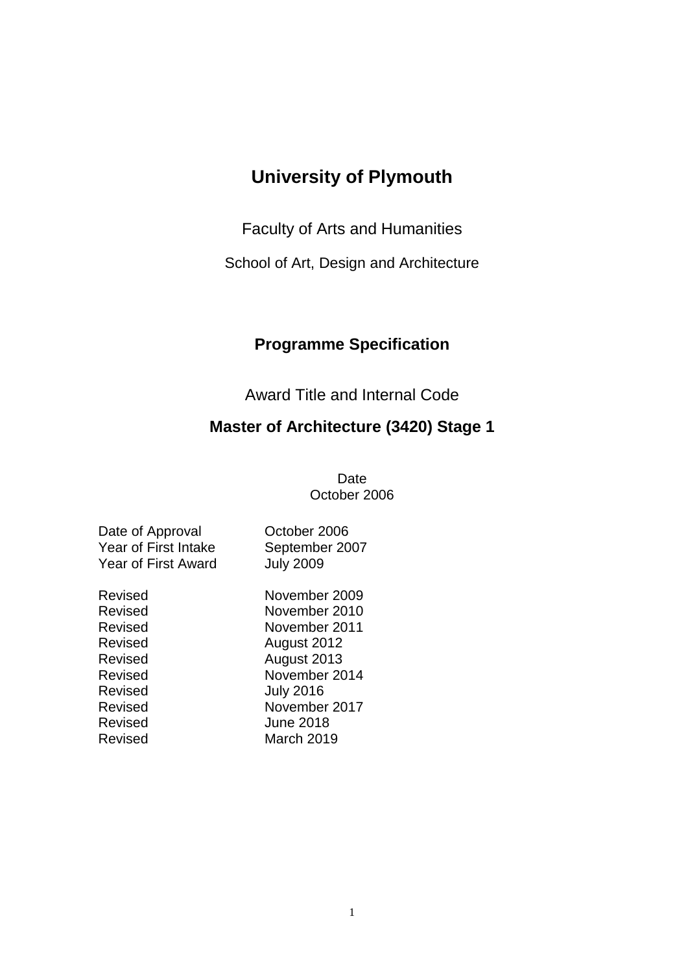## **University of Plymouth**

Faculty of Arts and Humanities

School of Art, Design and Architecture

## **Programme Specification**

Award Title and Internal Code

## **Master of Architecture (3420) Stage 1**

Date October 2006

| Date of Approval            |
|-----------------------------|
| <b>Year of First Intake</b> |
| <b>Year of First Award</b>  |

Revised Revised Revised Revised Revised Revised Revised **Revised** Revised Revised

October 2006 September 2007 July 2009

| November 2009    |
|------------------|
| November 2010    |
| November 2011    |
| August 2012      |
| August 2013      |
| November 2014    |
| <b>July 2016</b> |
| November 2017    |
| June 2018        |
| March 2019       |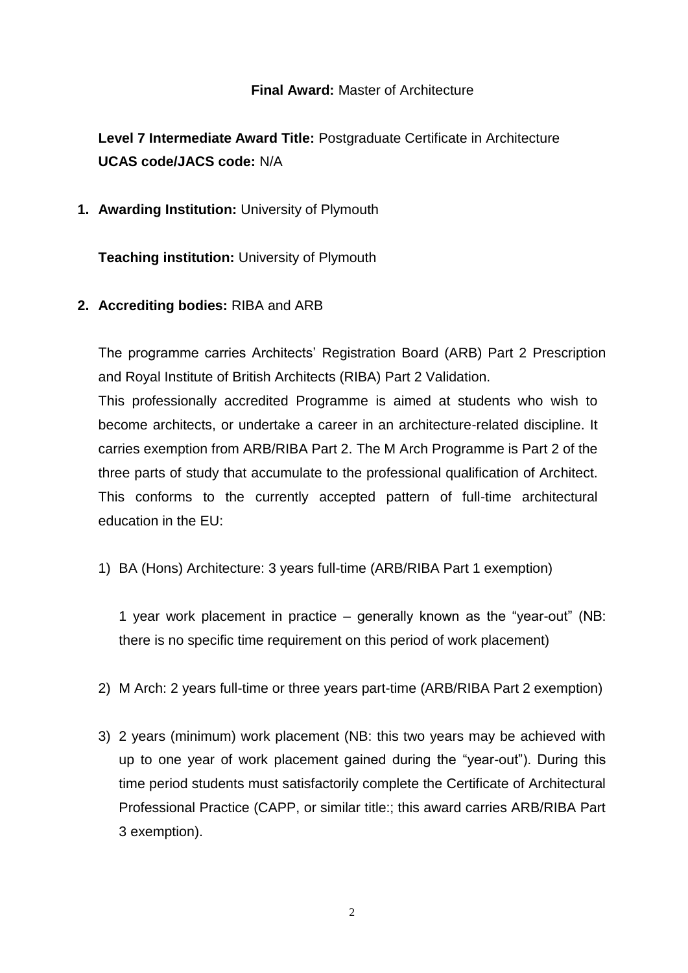## **Final Award:** Master of Architecture

**Level 7 Intermediate Award Title:** Postgraduate Certificate in Architecture **UCAS code/JACS code:** N/A

**1. Awarding Institution:** University of Plymouth

**Teaching institution:** University of Plymouth

## **2. Accrediting bodies:** RIBA and ARB

The programme carries Architects' Registration Board (ARB) Part 2 Prescription and Royal Institute of British Architects (RIBA) Part 2 Validation.

This professionally accredited Programme is aimed at students who wish to become architects, or undertake a career in an architecture-related discipline. It carries exemption from ARB/RIBA Part 2. The M Arch Programme is Part 2 of the three parts of study that accumulate to the professional qualification of Architect. This conforms to the currently accepted pattern of full-time architectural education in the EU:

1) BA (Hons) Architecture: 3 years full-time (ARB/RIBA Part 1 exemption)

1 year work placement in practice – generally known as the "year-out" (NB: there is no specific time requirement on this period of work placement)

- 2) M Arch: 2 years full-time or three years part-time (ARB/RIBA Part 2 exemption)
- 3) 2 years (minimum) work placement (NB: this two years may be achieved with up to one year of work placement gained during the "year-out"). During this time period students must satisfactorily complete the Certificate of Architectural Professional Practice (CAPP, or similar title:; this award carries ARB/RIBA Part 3 exemption).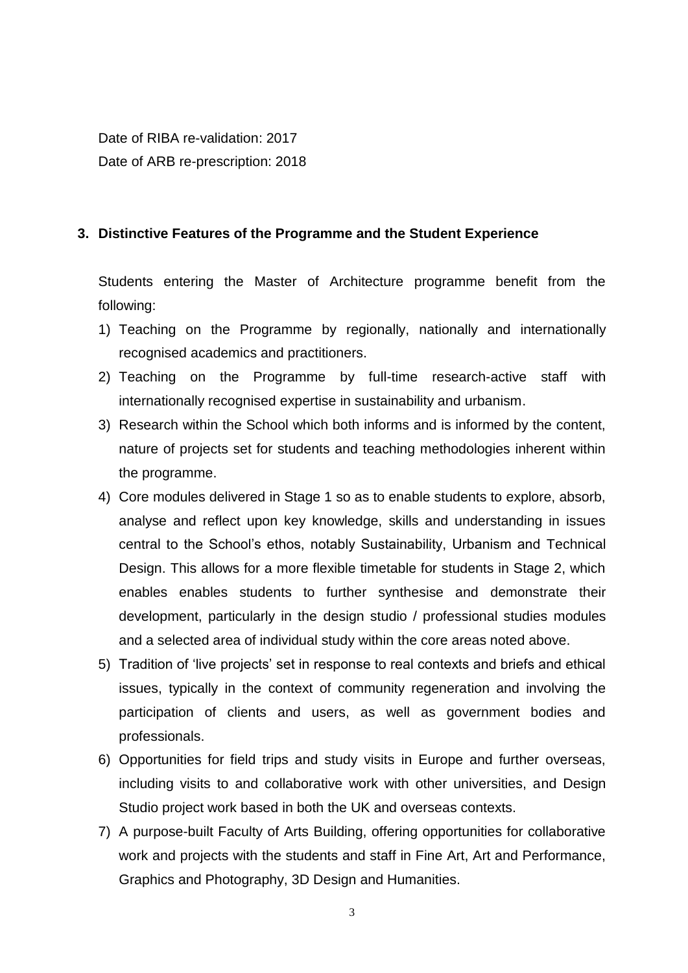Date of RIBA re-validation: 2017 Date of ARB re-prescription: 2018

## **3. Distinctive Features of the Programme and the Student Experience**

Students entering the Master of Architecture programme benefit from the following:

- 1) Teaching on the Programme by regionally, nationally and internationally recognised academics and practitioners.
- 2) Teaching on the Programme by full-time research-active staff with internationally recognised expertise in sustainability and urbanism.
- 3) Research within the School which both informs and is informed by the content, nature of projects set for students and teaching methodologies inherent within the programme.
- 4) Core modules delivered in Stage 1 so as to enable students to explore, absorb, analyse and reflect upon key knowledge, skills and understanding in issues central to the School's ethos, notably Sustainability, Urbanism and Technical Design. This allows for a more flexible timetable for students in Stage 2, which enables enables students to further synthesise and demonstrate their development, particularly in the design studio / professional studies modules and a selected area of individual study within the core areas noted above.
- 5) Tradition of 'live projects' set in response to real contexts and briefs and ethical issues, typically in the context of community regeneration and involving the participation of clients and users, as well as government bodies and professionals.
- 6) Opportunities for field trips and study visits in Europe and further overseas, including visits to and collaborative work with other universities, and Design Studio project work based in both the UK and overseas contexts.
- 7) A purpose-built Faculty of Arts Building, offering opportunities for collaborative work and projects with the students and staff in Fine Art, Art and Performance, Graphics and Photography, 3D Design and Humanities.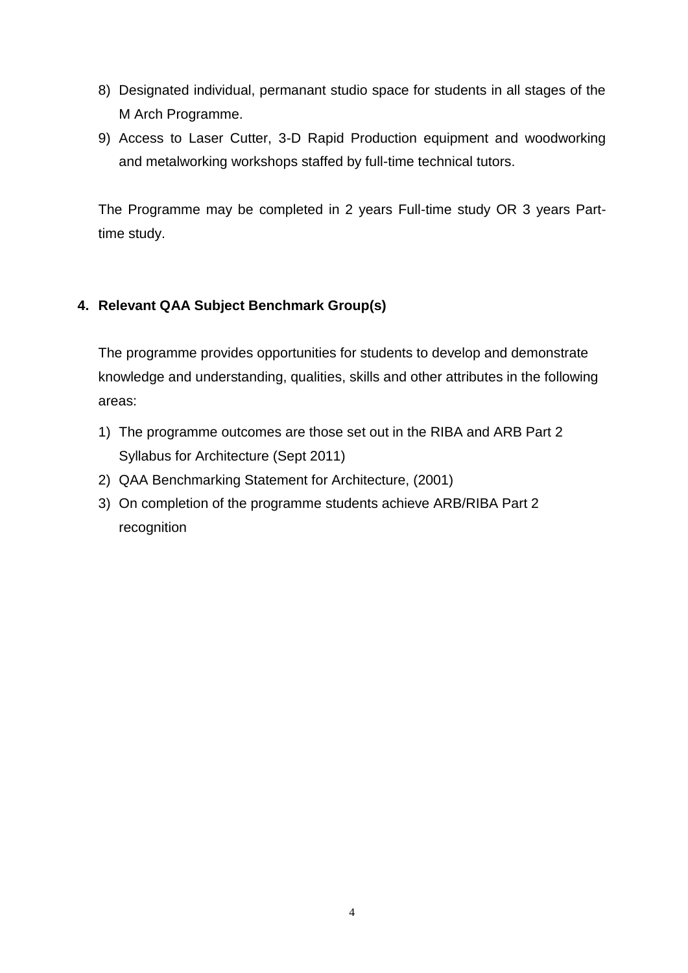- 8) Designated individual, permanant studio space for students in all stages of the M Arch Programme.
- 9) Access to Laser Cutter, 3-D Rapid Production equipment and woodworking and metalworking workshops staffed by full-time technical tutors.

The Programme may be completed in 2 years Full-time study OR 3 years Parttime study.

## **4. Relevant QAA Subject Benchmark Group(s)**

The programme provides opportunities for students to develop and demonstrate knowledge and understanding, qualities, skills and other attributes in the following areas:

- 1) The programme outcomes are those set out in the RIBA and ARB Part 2 Syllabus for Architecture (Sept 2011)
- 2) QAA Benchmarking Statement for Architecture, (2001)
- 3) On completion of the programme students achieve ARB/RIBA Part 2 recognition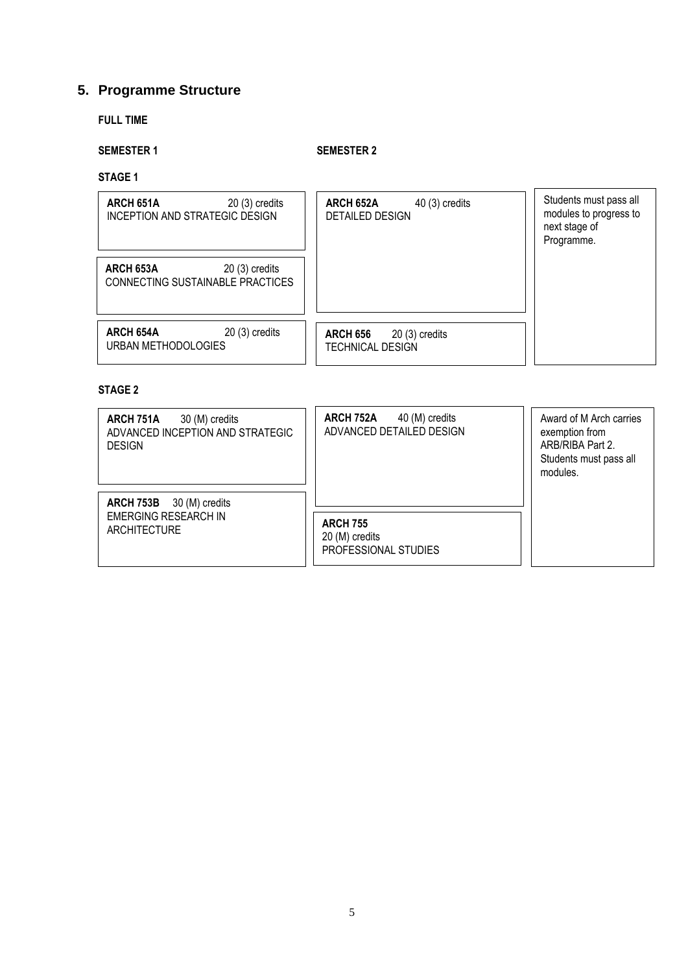## **5. Programme Structure**

## **FULL TIME**

### **SEMESTER 1 SEMESTER 2**

**STAGE 1**

| ARCH 651A<br>$20(3)$ credits<br>INCEPTION AND STRATEGIC DESIGN   | ARCH 652A<br>$40(3)$ credits<br><b>DETAILED DESIGN</b> | Students must pass all<br>modules to progress to<br>next stage of<br>Programme. |
|------------------------------------------------------------------|--------------------------------------------------------|---------------------------------------------------------------------------------|
| ARCH 653A<br>$20(3)$ credits<br>CONNECTING SUSTAINABLE PRACTICES |                                                        |                                                                                 |
| $20(3)$ credits<br>ARCH 654A<br>URBAN METHODOLOGIES              | <b>ARCH 656</b><br>$20(3)$ credits<br>TECHNICAL DESIGN |                                                                                 |

### **STAGE 2**

| ARCH 751A<br>30 (M) credits<br>ADVANCED INCEPTION AND STRATEGIC<br><b>DESIGN</b> | ARCH 752A<br>40 (M) credits<br>ADVANCED DETAILED DESIGN   | Award of M Arch carries<br>exemption from<br>ARB/RIBA Part 2.<br>Students must pass all<br>modules. |
|----------------------------------------------------------------------------------|-----------------------------------------------------------|-----------------------------------------------------------------------------------------------------|
| ARCH 753B 30 (M) credits<br><b>EMERGING RESEARCH IN</b><br>ARCHITECTURE          | <b>ARCH 755</b><br>20 (M) credits<br>PROFESSIONAL STUDIES |                                                                                                     |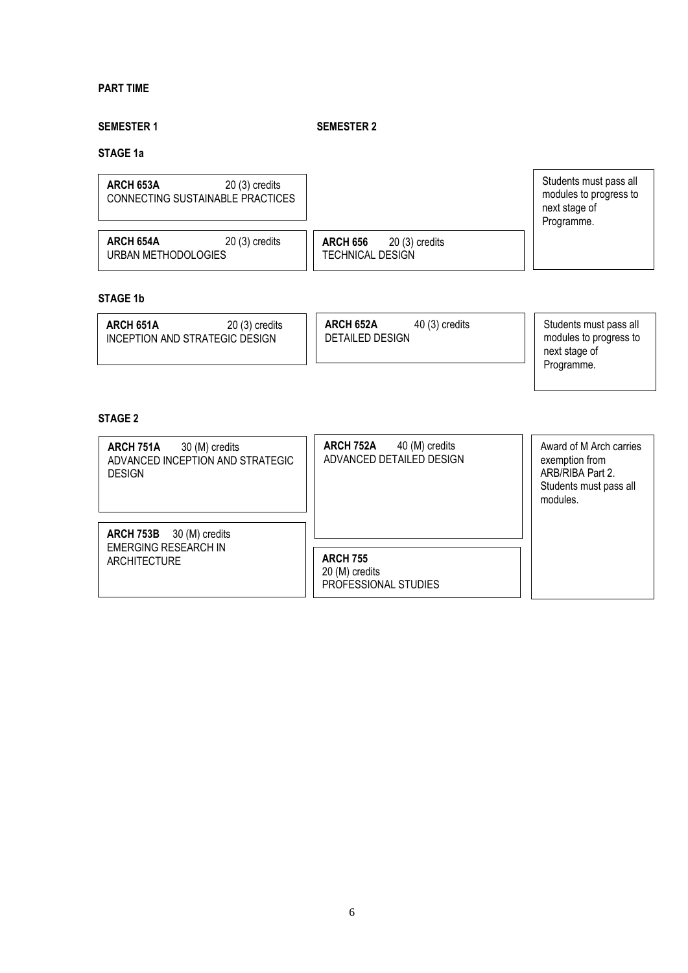#### **PART TIME**

## **SEMESTER 1 SEMESTER 2**

#### **STAGE 1a**

| ARCH 653A<br>$20(3)$ credits<br>CONNECTING SUSTAINABLE PRACTICES |                                                               | Students must pass all<br>modules to progress to<br>next stage of<br>Programme. |
|------------------------------------------------------------------|---------------------------------------------------------------|---------------------------------------------------------------------------------|
| ARCH 654A<br>$20(3)$ credits<br>URBAN METHODOLOGIES              | <b>ARCH 656</b><br>$20(3)$ credits<br><b>TECHNICAL DESIGN</b> |                                                                                 |

## **STAGE 1b**

| ARCH 651A<br>INCEPTION AND STRATEGIC DESIGN | $20(3)$ credits | ARCH 652A<br><b>DETAILED DESIGN</b> | $40(3)$ credits | Students must pass all<br>modules to progress to<br>next stage of<br>Programme. |
|---------------------------------------------|-----------------|-------------------------------------|-----------------|---------------------------------------------------------------------------------|
|                                             |                 |                                     |                 |                                                                                 |

### **STAGE 2**

| ARCH 751A<br>30 (M) credits<br>ADVANCED INCEPTION AND STRATEGIC<br><b>DESIGN</b> | ARCH 752A<br>40 (M) credits<br>ADVANCED DETAILED DESIGN   | Award of M Arch carries<br>exemption from<br>ARB/RIBA Part 2.<br>Students must pass all<br>modules. |
|----------------------------------------------------------------------------------|-----------------------------------------------------------|-----------------------------------------------------------------------------------------------------|
| ARCH 753B 30 (M) credits                                                         |                                                           |                                                                                                     |
| <b>EMERGING RESEARCH IN</b><br><b>ARCHITECTURE</b>                               | <b>ARCH 755</b><br>20 (M) credits<br>PROFESSIONAL STUDIES |                                                                                                     |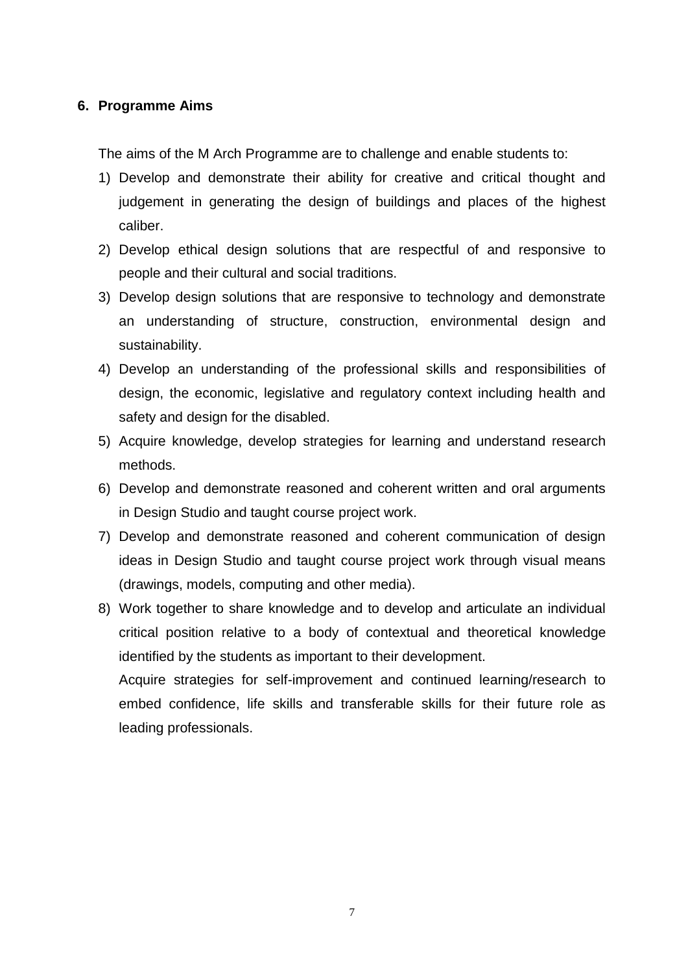### **6. Programme Aims**

The aims of the M Arch Programme are to challenge and enable students to:

- 1) Develop and demonstrate their ability for creative and critical thought and judgement in generating the design of buildings and places of the highest caliber.
- 2) Develop ethical design solutions that are respectful of and responsive to people and their cultural and social traditions.
- 3) Develop design solutions that are responsive to technology and demonstrate an understanding of structure, construction, environmental design and sustainability.
- 4) Develop an understanding of the professional skills and responsibilities of design, the economic, legislative and regulatory context including health and safety and design for the disabled.
- 5) Acquire knowledge, develop strategies for learning and understand research methods.
- 6) Develop and demonstrate reasoned and coherent written and oral arguments in Design Studio and taught course project work.
- 7) Develop and demonstrate reasoned and coherent communication of design ideas in Design Studio and taught course project work through visual means (drawings, models, computing and other media).
- 8) Work together to share knowledge and to develop and articulate an individual critical position relative to a body of contextual and theoretical knowledge identified by the students as important to their development. Acquire strategies for self-improvement and continued learning/research to

embed confidence, life skills and transferable skills for their future role as leading professionals.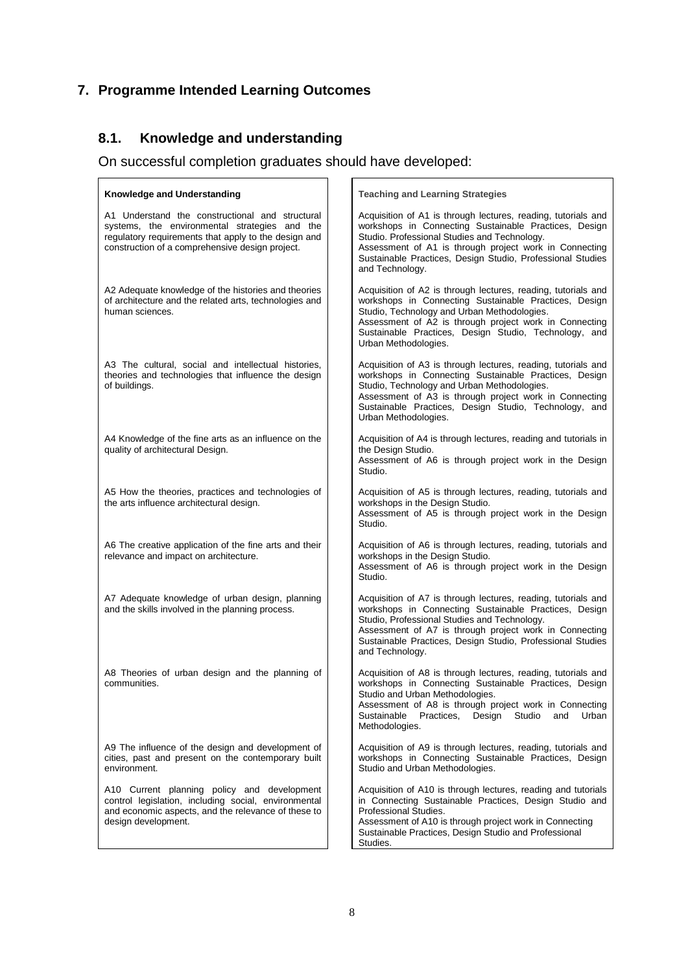## **7. Programme Intended Learning Outcomes**

## **8.1. Knowledge and understanding**

On successful completion graduates should have developed:

| <b>Knowledge and Understanding</b>                                                                                                                                                                          | <b>Teaching and Learning Strategies</b>                                                                                                                                                                                                                                                                           |
|-------------------------------------------------------------------------------------------------------------------------------------------------------------------------------------------------------------|-------------------------------------------------------------------------------------------------------------------------------------------------------------------------------------------------------------------------------------------------------------------------------------------------------------------|
| A1 Understand the constructional and structural<br>systems, the environmental strategies and the<br>regulatory requirements that apply to the design and<br>construction of a comprehensive design project. | Acquisition of A1 is through lectures, reading, tutorials and<br>workshops in Connecting Sustainable Practices, Design<br>Studio. Professional Studies and Technology.<br>Assessment of A1 is through project work in Connecting<br>Sustainable Practices, Design Studio, Professional Studies<br>and Technology. |
| A2 Adequate knowledge of the histories and theories<br>of architecture and the related arts, technologies and<br>human sciences.                                                                            | Acquisition of A2 is through lectures, reading, tutorials and<br>workshops in Connecting Sustainable Practices, Design<br>Studio, Technology and Urban Methodologies.<br>Assessment of A2 is through project work in Connecting<br>Sustainable Practices, Design Studio, Technology, and<br>Urban Methodologies.  |
| A3 The cultural, social and intellectual histories,<br>theories and technologies that influence the design<br>of buildings.                                                                                 | Acquisition of A3 is through lectures, reading, tutorials and<br>workshops in Connecting Sustainable Practices, Design<br>Studio, Technology and Urban Methodologies.<br>Assessment of A3 is through project work in Connecting<br>Sustainable Practices, Design Studio, Technology, and<br>Urban Methodologies.  |
| A4 Knowledge of the fine arts as an influence on the<br>quality of architectural Design.                                                                                                                    | Acquisition of A4 is through lectures, reading and tutorials in<br>the Design Studio.<br>Assessment of A6 is through project work in the Design<br>Studio.                                                                                                                                                        |
| A5 How the theories, practices and technologies of<br>the arts influence architectural design.                                                                                                              | Acquisition of A5 is through lectures, reading, tutorials and<br>workshops in the Design Studio.<br>Assessment of A5 is through project work in the Design<br>Studio.                                                                                                                                             |
| A6 The creative application of the fine arts and their<br>relevance and impact on architecture.                                                                                                             | Acquisition of A6 is through lectures, reading, tutorials and<br>workshops in the Design Studio.<br>Assessment of A6 is through project work in the Design<br>Studio.                                                                                                                                             |
| A7 Adequate knowledge of urban design, planning<br>and the skills involved in the planning process.                                                                                                         | Acquisition of A7 is through lectures, reading, tutorials and<br>workshops in Connecting Sustainable Practices, Design<br>Studio, Professional Studies and Technology.<br>Assessment of A7 is through project work in Connecting<br>Sustainable Practices, Design Studio, Professional Studies<br>and Technology. |
| A8 Theories of urban design and the planning of<br>communities.                                                                                                                                             | Acquisition of A8 is through lectures, reading, tutorials and<br>workshops in Connecting Sustainable Practices, Design<br>Studio and Urban Methodologies.<br>Assessment of A8 is through project work in Connecting<br>Sustainable<br>Design<br>Practices,<br>Studio<br>and<br>Urban<br>Methodologies.            |
| A9 The influence of the design and development of<br>cities, past and present on the contemporary built<br>environment.                                                                                     | Acquisition of A9 is through lectures, reading, tutorials and<br>workshops in Connecting Sustainable Practices, Design<br>Studio and Urban Methodologies.                                                                                                                                                         |
| A10 Current planning policy and development<br>control legislation, including social, environmental<br>and economic aspects, and the relevance of these to<br>design development.                           | Acquisition of A10 is through lectures, reading and tutorials<br>in Connecting Sustainable Practices, Design Studio and<br>Professional Studies.<br>Assessment of A10 is through project work in Connecting<br>Sustainable Practices, Design Studio and Professional<br>Studies.                                  |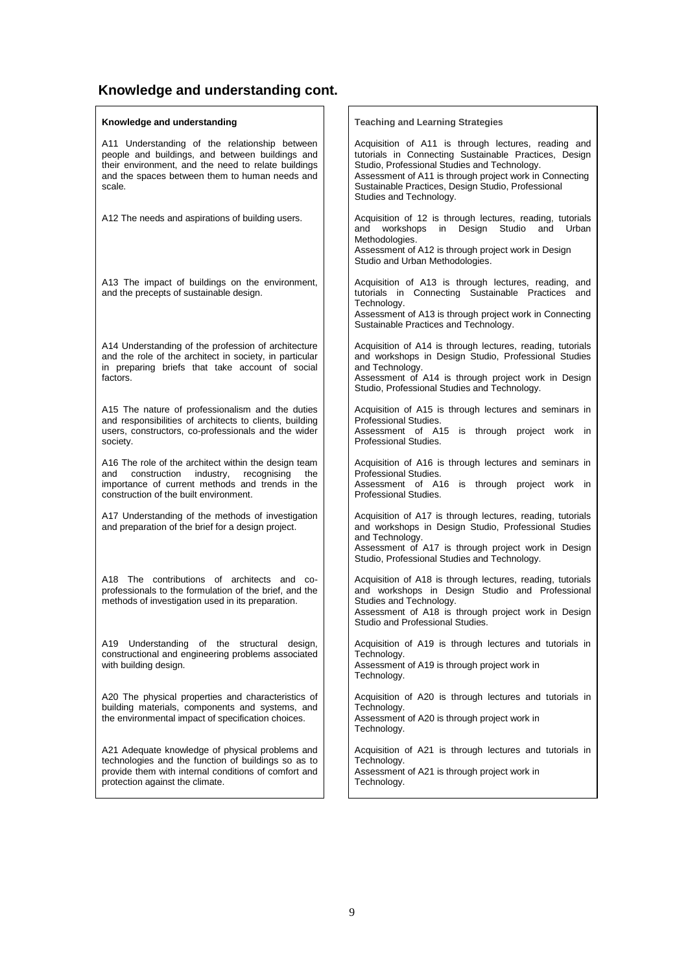# **Knowledge and understanding cont.**

| Knowledge and understanding                                                                                                                                                                                         | <b>Teaching and Learning Strategies</b>                                                                                                                                                                                                                                                                  |
|---------------------------------------------------------------------------------------------------------------------------------------------------------------------------------------------------------------------|----------------------------------------------------------------------------------------------------------------------------------------------------------------------------------------------------------------------------------------------------------------------------------------------------------|
| A11 Understanding of the relationship between<br>people and buildings, and between buildings and<br>their environment, and the need to relate buildings<br>and the spaces between them to human needs and<br>scale. | Acquisition of A11 is through lectures, reading and<br>tutorials in Connecting Sustainable Practices, Design<br>Studio, Professional Studies and Technology.<br>Assessment of A11 is through project work in Connecting<br>Sustainable Practices, Design Studio, Professional<br>Studies and Technology. |
| A12 The needs and aspirations of building users.                                                                                                                                                                    | Acquisition of 12 is through lectures, reading, tutorials<br>workshops in Design Studio<br>and<br>and Urban<br>Methodologies.<br>Assessment of A12 is through project work in Design<br>Studio and Urban Methodologies.                                                                                  |
| A13 The impact of buildings on the environment,<br>and the precepts of sustainable design.                                                                                                                          | Acquisition of A13 is through lectures, reading, and<br>tutorials in Connecting Sustainable Practices and<br>Technology.<br>Assessment of A13 is through project work in Connecting<br>Sustainable Practices and Technology.                                                                             |
| A14 Understanding of the profession of architecture<br>and the role of the architect in society, in particular<br>in preparing briefs that take account of social<br>factors.                                       | Acquisition of A14 is through lectures, reading, tutorials<br>and workshops in Design Studio, Professional Studies<br>and Technology.<br>Assessment of A14 is through project work in Design<br>Studio, Professional Studies and Technology.                                                             |
| A15 The nature of professionalism and the duties<br>and responsibilities of architects to clients, building<br>users, constructors, co-professionals and the wider<br>society.                                      | Acquisition of A15 is through lectures and seminars in<br>Professional Studies.<br>Assessment of A15 is through project work in<br>Professional Studies.                                                                                                                                                 |
| A16 The role of the architect within the design team<br>construction<br>industry,<br>recognising<br>the<br>and<br>importance of current methods and trends in the<br>construction of the built environment.         | Acquisition of A16 is through lectures and seminars in<br>Professional Studies.<br>Assessment of A16 is through project work in<br>Professional Studies.                                                                                                                                                 |
| A17 Understanding of the methods of investigation<br>and preparation of the brief for a design project.                                                                                                             | Acquisition of A17 is through lectures, reading, tutorials<br>and workshops in Design Studio, Professional Studies<br>and Technology.<br>Assessment of A17 is through project work in Design<br>Studio, Professional Studies and Technology.                                                             |
| A18 The contributions of architects and co-<br>professionals to the formulation of the brief, and the<br>methods of investigation used in its preparation.                                                          | Acquisition of A18 is through lectures, reading, tutorials<br>and workshops in Design Studio and Professional<br>Studies and Technology.<br>Assessment of A18 is through project work in Design<br>Studio and Professional Studies.                                                                      |
| A19<br>Understanding of the structural design,<br>constructional and engineering problems associated<br>with building design.                                                                                       | Acquisition of A19 is through lectures and tutorials in<br>Technology.<br>Assessment of A19 is through project work in<br>Technology.                                                                                                                                                                    |
| A20 The physical properties and characteristics of<br>building materials, components and systems, and<br>the environmental impact of specification choices.                                                         | Acquisition of A20 is through lectures and tutorials in<br>Technology.<br>Assessment of A20 is through project work in<br>Technology.                                                                                                                                                                    |
| A21 Adequate knowledge of physical problems and<br>technologies and the function of buildings so as to<br>provide them with internal conditions of comfort and<br>protection against the climate.                   | Acquisition of A21 is through lectures and tutorials in<br>Technology.<br>Assessment of A21 is through project work in<br>Technology.                                                                                                                                                                    |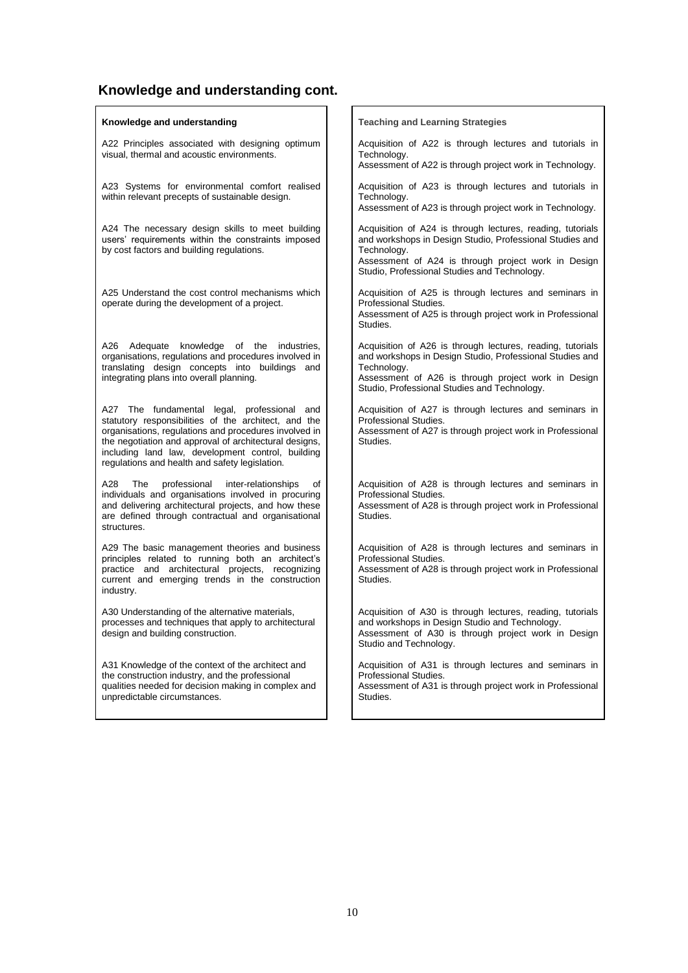# **Knowledge and understanding cont.**

| Knowledge and understanding                                                                                                                                                                                                                                                                                                   | <b>Teaching and Learning Strategies</b>                                                                                                                                                                                                      |
|-------------------------------------------------------------------------------------------------------------------------------------------------------------------------------------------------------------------------------------------------------------------------------------------------------------------------------|----------------------------------------------------------------------------------------------------------------------------------------------------------------------------------------------------------------------------------------------|
| A22 Principles associated with designing optimum<br>visual, thermal and acoustic environments.                                                                                                                                                                                                                                | Acquisition of A22 is through lectures and tutorials in<br>Technology.<br>Assessment of A22 is through project work in Technology.                                                                                                           |
| A23 Systems for environmental comfort realised<br>within relevant precepts of sustainable design.                                                                                                                                                                                                                             | Acquisition of A23 is through lectures and tutorials in<br>Technology.<br>Assessment of A23 is through project work in Technology.                                                                                                           |
| A24 The necessary design skills to meet building<br>users' requirements within the constraints imposed<br>by cost factors and building regulations.                                                                                                                                                                           | Acquisition of A24 is through lectures, reading, tutorials<br>and workshops in Design Studio, Professional Studies and<br>Technology.<br>Assessment of A24 is through project work in Design<br>Studio, Professional Studies and Technology. |
| A25 Understand the cost control mechanisms which<br>operate during the development of a project.                                                                                                                                                                                                                              | Acquisition of A25 is through lectures and seminars in<br>Professional Studies.<br>Assessment of A25 is through project work in Professional<br>Studies.                                                                                     |
| A26 Adequate<br>knowledge of the industries,<br>organisations, regulations and procedures involved in<br>translating design concepts into buildings and<br>integrating plans into overall planning.                                                                                                                           | Acquisition of A26 is through lectures, reading, tutorials<br>and workshops in Design Studio, Professional Studies and<br>Technology.<br>Assessment of A26 is through project work in Design<br>Studio, Professional Studies and Technology. |
| A27 The fundamental legal, professional and<br>statutory responsibilities of the architect, and the<br>organisations, regulations and procedures involved in<br>the negotiation and approval of architectural designs,<br>including land law, development control, building<br>regulations and health and safety legislation. | Acquisition of A27 is through lectures and seminars in<br>Professional Studies.<br>Assessment of A27 is through project work in Professional<br>Studies.                                                                                     |
| A28<br>The<br>professional<br>inter-relationships<br>οf<br>individuals and organisations involved in procuring<br>and delivering architectural projects, and how these<br>are defined through contractual and organisational<br>structures.                                                                                   | Acquisition of A28 is through lectures and seminars in<br>Professional Studies.<br>Assessment of A28 is through project work in Professional<br>Studies.                                                                                     |
| A29 The basic management theories and business<br>principles related to running both an architect's<br>practice and architectural projects, recognizing<br>current and emerging trends in the construction<br>industry.                                                                                                       | Acquisition of A28 is through lectures and seminars in<br>Professional Studies.<br>Assessment of A28 is through project work in Professional<br>Studies.                                                                                     |
| A30 Understanding of the alternative materials,<br>processes and techniques that apply to architectural<br>design and building construction.                                                                                                                                                                                  | Acquisition of A30 is through lectures, reading, tutorials<br>and workshops in Design Studio and Technology.<br>Assessment of A30 is through project work in Design<br>Studio and Technology.                                                |
| A31 Knowledge of the context of the architect and<br>the construction industry, and the professional<br>qualities needed for decision making in complex and<br>unpredictable circumstances.                                                                                                                                   | Acquisition of A31 is through lectures and seminars in<br>Professional Studies.<br>Assessment of A31 is through project work in Professional<br>Studies.                                                                                     |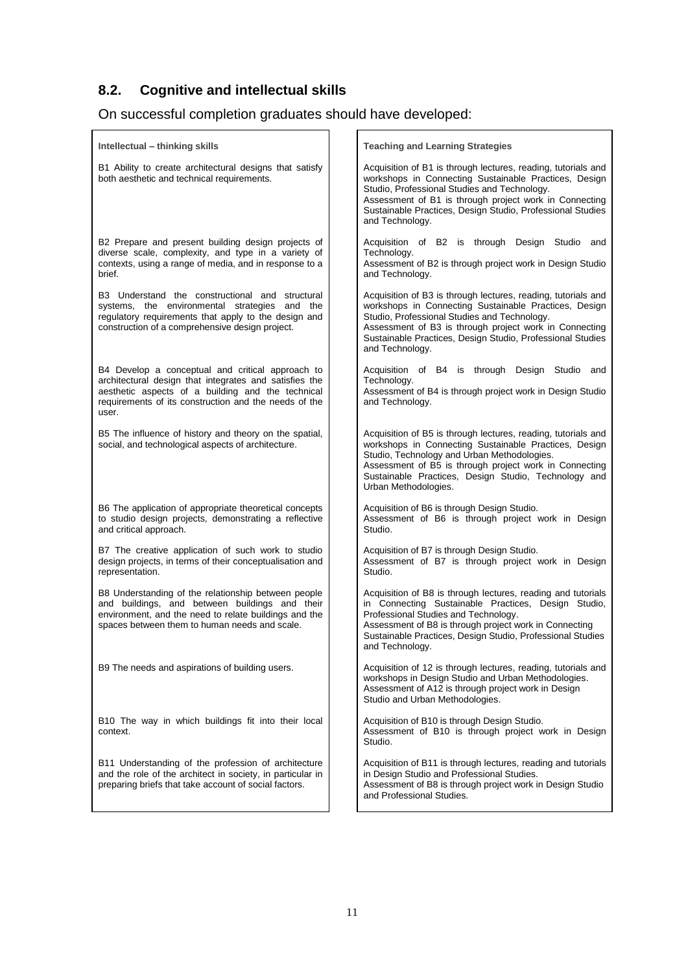## **8.2. Cognitive and intellectual skills**

# On successful completion graduates should have developed:

| Intellectual – thinking skills                                                                                                                                                                                                    | <b>Teaching and Learning Strategies</b>                                                                                                                                                                                                                                                                           |
|-----------------------------------------------------------------------------------------------------------------------------------------------------------------------------------------------------------------------------------|-------------------------------------------------------------------------------------------------------------------------------------------------------------------------------------------------------------------------------------------------------------------------------------------------------------------|
| B1 Ability to create architectural designs that satisfy<br>both aesthetic and technical requirements.                                                                                                                             | Acquisition of B1 is through lectures, reading, tutorials and<br>workshops in Connecting Sustainable Practices, Design<br>Studio, Professional Studies and Technology.<br>Assessment of B1 is through project work in Connecting<br>Sustainable Practices, Design Studio, Professional Studies<br>and Technology. |
| B2 Prepare and present building design projects of<br>diverse scale, complexity, and type in a variety of<br>contexts, using a range of media, and in response to a<br>brief.                                                     | Acquisition of B2 is through Design Studio and<br>Technology.<br>Assessment of B2 is through project work in Design Studio<br>and Technology.                                                                                                                                                                     |
| B3 Understand the constructional and structural<br>systems, the environmental strategies and the<br>regulatory requirements that apply to the design and<br>construction of a comprehensive design project.                       | Acquisition of B3 is through lectures, reading, tutorials and<br>workshops in Connecting Sustainable Practices, Design<br>Studio, Professional Studies and Technology.<br>Assessment of B3 is through project work in Connecting<br>Sustainable Practices, Design Studio, Professional Studies<br>and Technology. |
| B4 Develop a conceptual and critical approach to<br>architectural design that integrates and satisfies the<br>aesthetic aspects of a building and the technical<br>requirements of its construction and the needs of the<br>user. | Acquisition of B4 is through Design Studio and<br>Technology.<br>Assessment of B4 is through project work in Design Studio<br>and Technology.                                                                                                                                                                     |
| B5 The influence of history and theory on the spatial,<br>social, and technological aspects of architecture.                                                                                                                      | Acquisition of B5 is through lectures, reading, tutorials and<br>workshops in Connecting Sustainable Practices, Design<br>Studio, Technology and Urban Methodologies.<br>Assessment of B5 is through project work in Connecting<br>Sustainable Practices, Design Studio, Technology and<br>Urban Methodologies.   |
| B6 The application of appropriate theoretical concepts<br>to studio design projects, demonstrating a reflective<br>and critical approach.                                                                                         | Acquisition of B6 is through Design Studio.<br>Assessment of B6 is through project work in Design<br>Studio.                                                                                                                                                                                                      |
| B7 The creative application of such work to studio<br>design projects, in terms of their conceptualisation and<br>representation.                                                                                                 | Acquisition of B7 is through Design Studio.<br>Assessment of B7 is through project work in Design<br>Studio.                                                                                                                                                                                                      |
| B8 Understanding of the relationship between people<br>and buildings, and between buildings and their<br>environment, and the need to relate buildings and the<br>spaces between them to human needs and scale.                   | Acquisition of B8 is through lectures, reading and tutorials<br>in Connecting Sustainable Practices, Design Studio,<br>Professional Studies and Technology.<br>Assessment of B8 is through project work in Connecting<br>Sustainable Practices, Design Studio, Professional Studies<br>and Technology.            |
| B9 The needs and aspirations of building users.                                                                                                                                                                                   | Acquisition of 12 is through lectures, reading, tutorials and<br>workshops in Design Studio and Urban Methodologies.<br>Assessment of A12 is through project work in Design<br>Studio and Urban Methodologies.                                                                                                    |
| B10 The way in which buildings fit into their local<br>context.                                                                                                                                                                   | Acquisition of B10 is through Design Studio.<br>Assessment of B10 is through project work in Design<br>Studio.                                                                                                                                                                                                    |
| B11 Understanding of the profession of architecture<br>and the role of the architect in society, in particular in<br>preparing briefs that take account of social factors.                                                        | Acquisition of B11 is through lectures, reading and tutorials<br>in Design Studio and Professional Studies.<br>Assessment of B8 is through project work in Design Studio<br>and Professional Studies.                                                                                                             |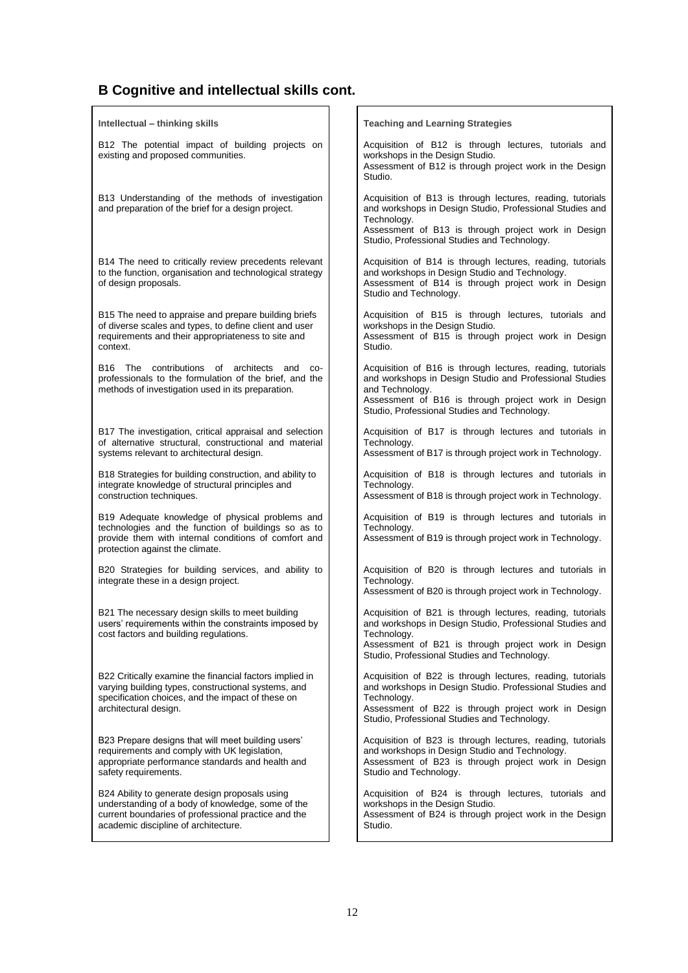## **B Cognitive and intellectual skills cont.**

| Intellectual – thinking skills                                                                                                                                                                     | <b>Teaching and Learning Strategies</b>                                                                                                                                                                                                         |
|----------------------------------------------------------------------------------------------------------------------------------------------------------------------------------------------------|-------------------------------------------------------------------------------------------------------------------------------------------------------------------------------------------------------------------------------------------------|
| B12 The potential impact of building projects on<br>existing and proposed communities.                                                                                                             | Acquisition of B12 is through lectures, tutorials and<br>workshops in the Design Studio.<br>Assessment of B12 is through project work in the Design<br>Studio.                                                                                  |
| B13 Understanding of the methods of investigation<br>and preparation of the brief for a design project.                                                                                            | Acquisition of B13 is through lectures, reading, tutorials<br>and workshops in Design Studio, Professional Studies and<br>Technology.<br>Assessment of B13 is through project work in Design<br>Studio, Professional Studies and Technology.    |
| B14 The need to critically review precedents relevant<br>to the function, organisation and technological strategy<br>of design proposals.                                                          | Acquisition of B14 is through lectures, reading, tutorials<br>and workshops in Design Studio and Technology.<br>Assessment of B14 is through project work in Design<br>Studio and Technology.                                                   |
| B15 The need to appraise and prepare building briefs<br>of diverse scales and types, to define client and user<br>requirements and their appropriateness to site and<br>context.                   | Acquisition of B15 is through lectures, tutorials and<br>workshops in the Design Studio.<br>Assessment of B15 is through project work in Design<br>Studio.                                                                                      |
| The contributions of architects and<br>B16<br>CO-<br>professionals to the formulation of the brief, and the<br>methods of investigation used in its preparation.                                   | Acquisition of B16 is through lectures, reading, tutorials<br>and workshops in Design Studio and Professional Studies<br>and Technology.<br>Assessment of B16 is through project work in Design<br>Studio, Professional Studies and Technology. |
| B17 The investigation, critical appraisal and selection<br>of alternative structural, constructional and material<br>systems relevant to architectural design.                                     | Acquisition of B17 is through lectures and tutorials in<br>Technology.<br>Assessment of B17 is through project work in Technology.                                                                                                              |
| B18 Strategies for building construction, and ability to<br>integrate knowledge of structural principles and<br>construction techniques.                                                           | Acquisition of B18 is through lectures and tutorials in<br>Technology.<br>Assessment of B18 is through project work in Technology.                                                                                                              |
| B19 Adequate knowledge of physical problems and<br>technologies and the function of buildings so as to<br>provide them with internal conditions of comfort and<br>protection against the climate.  | Acquisition of B19 is through lectures and tutorials in<br>Technology.<br>Assessment of B19 is through project work in Technology.                                                                                                              |
| B20 Strategies for building services, and ability to<br>integrate these in a design project.                                                                                                       | Acquisition of B20 is through lectures and tutorials in<br>Technology.<br>Assessment of B20 is through project work in Technology.                                                                                                              |
| B21 The necessary design skills to meet building<br>users' requirements within the constraints imposed by<br>cost factors and building regulations.                                                | Acquisition of B21 is through lectures, reading, tutorials<br>and workshops in Design Studio, Professional Studies and<br>Technology.<br>Assessment of B21 is through project work in Design<br>Studio, Professional Studies and Technology.    |
| B22 Critically examine the financial factors implied in<br>varying building types, constructional systems, and<br>specification choices, and the impact of these on<br>architectural design.       | Acquisition of B22 is through lectures, reading, tutorials<br>and workshops in Design Studio. Professional Studies and<br>Technology.<br>Assessment of B22 is through project work in Design<br>Studio, Professional Studies and Technology.    |
| B23 Prepare designs that will meet building users'<br>requirements and comply with UK legislation,<br>appropriate performance standards and health and<br>safety requirements.                     | Acquisition of B23 is through lectures, reading, tutorials<br>and workshops in Design Studio and Technology.<br>Assessment of B23 is through project work in Design<br>Studio and Technology.                                                   |
| B24 Ability to generate design proposals using<br>understanding of a body of knowledge, some of the<br>current boundaries of professional practice and the<br>academic discipline of architecture. | Acquisition of B24 is through lectures, tutorials and<br>workshops in the Design Studio.<br>Assessment of B24 is through project work in the Design<br>Studio.                                                                                  |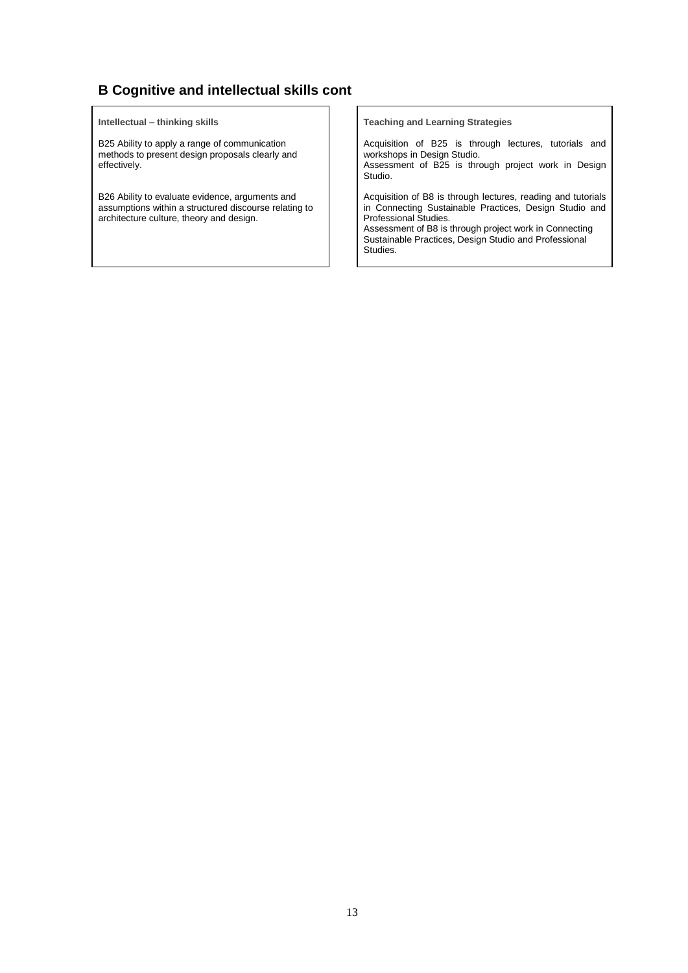## **B Cognitive and intellectual skills cont**

#### **Intellectual – thinking skills**

B25 Ability to apply a range of communication methods to present design proposals clearly and effectively.

B26 Ability to evaluate evidence, arguments and assumptions within a structured discourse relating to architecture culture, theory and design.

**Teaching and Learning Strategies**

Acquisition of B25 is through lectures, tutorials and workshops in Design Studio. Assessment of B25 is through project work in Design Studio.

Acquisition of B8 is through lectures, reading and tutorials in Connecting Sustainable Practices, Design Studio and Professional Studies.

Assessment of B8 is through project work in Connecting Sustainable Practices, Design Studio and Professional Studies.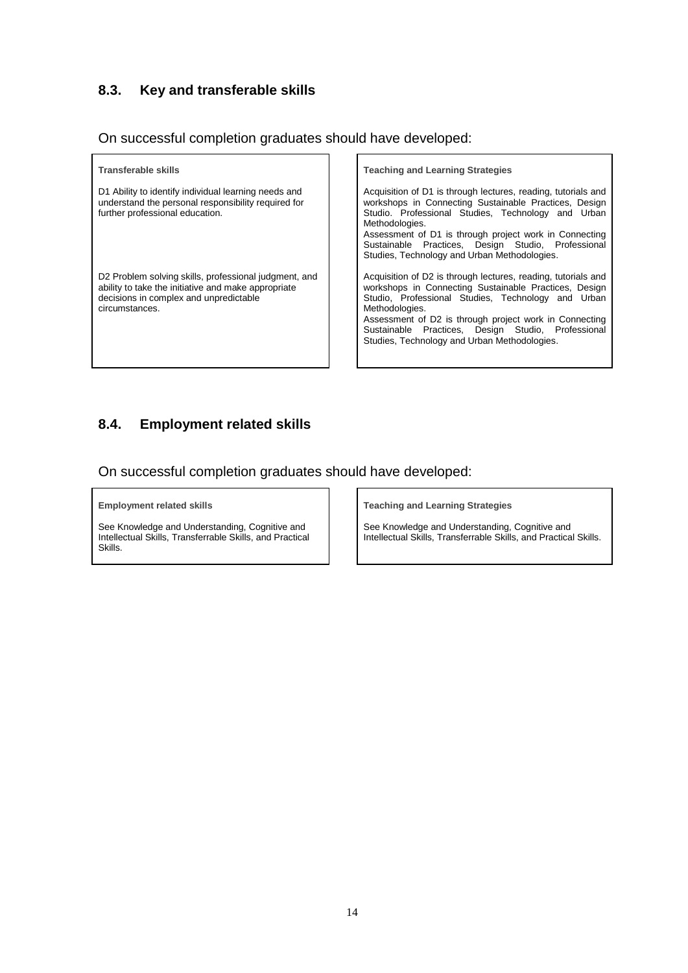## **8.3. Key and transferable skills**

On successful completion graduates should have developed:

| Transferable skills                                                                                                                                                      | <b>Teaching and Learning Strategies</b>                                                                                                                                                                                                                                                                                                                        |
|--------------------------------------------------------------------------------------------------------------------------------------------------------------------------|----------------------------------------------------------------------------------------------------------------------------------------------------------------------------------------------------------------------------------------------------------------------------------------------------------------------------------------------------------------|
| D1 Ability to identify individual learning needs and<br>understand the personal responsibility required for<br>further professional education.                           | Acquisition of D1 is through lectures, reading, tutorials and<br>workshops in Connecting Sustainable Practices, Design<br>Studio. Professional Studies, Technology and Urban<br>Methodologies.<br>Assessment of D1 is through project work in Connecting<br>Sustainable Practices, Design Studio, Professional<br>Studies, Technology and Urban Methodologies. |
| D2 Problem solving skills, professional judgment, and<br>ability to take the initiative and make appropriate<br>decisions in complex and unpredictable<br>circumstances. | Acquisition of D2 is through lectures, reading, tutorials and<br>workshops in Connecting Sustainable Practices, Design<br>Studio, Professional Studies, Technology and Urban<br>Methodologies.<br>Assessment of D2 is through project work in Connecting<br>Sustainable Practices, Design Studio, Professional<br>Studies, Technology and Urban Methodologies. |

## **8.4. Employment related skills**

On successful completion graduates should have developed:

**Employment related skills**

See Knowledge and Understanding, Cognitive and Intellectual Skills, Transferrable Skills, and Practical Skills.

**Teaching and Learning Strategies**

See Knowledge and Understanding, Cognitive and Intellectual Skills, Transferrable Skills, and Practical Skills.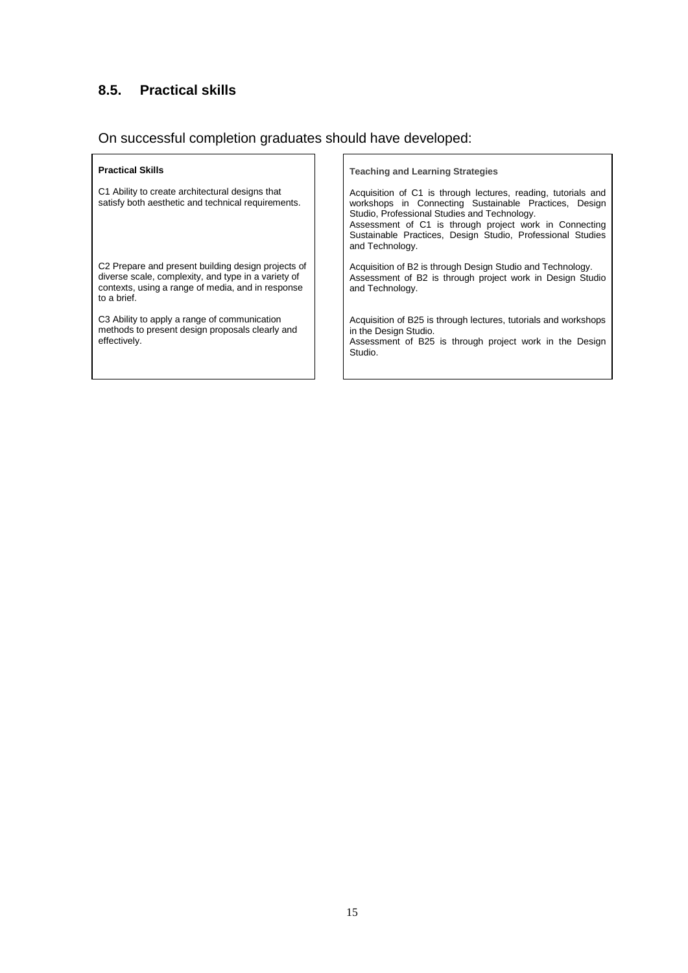## **8.5. Practical skills**

## On successful completion graduates should have developed:

| <b>Practical Skills</b><br>C1 Ability to create architectural designs that<br>satisfy both aesthetic and technical requirements.                                              | <b>Teaching and Learning Strategies</b><br>Acquisition of C1 is through lectures, reading, tutorials and<br>workshops in Connecting Sustainable Practices, Design<br>Studio, Professional Studies and Technology.<br>Assessment of C1 is through project work in Connecting<br>Sustainable Practices, Design Studio, Professional Studies<br>and Technology. |
|-------------------------------------------------------------------------------------------------------------------------------------------------------------------------------|--------------------------------------------------------------------------------------------------------------------------------------------------------------------------------------------------------------------------------------------------------------------------------------------------------------------------------------------------------------|
| C2 Prepare and present building design projects of<br>diverse scale, complexity, and type in a variety of<br>contexts, using a range of media, and in response<br>to a brief. | Acquisition of B2 is through Design Studio and Technology.<br>Assessment of B2 is through project work in Design Studio<br>and Technology.                                                                                                                                                                                                                   |
| C3 Ability to apply a range of communication<br>methods to present design proposals clearly and<br>effectively.                                                               | Acquisition of B25 is through lectures, tutorials and workshops<br>in the Design Studio.<br>Assessment of B25 is through project work in the Design<br>Studio.                                                                                                                                                                                               |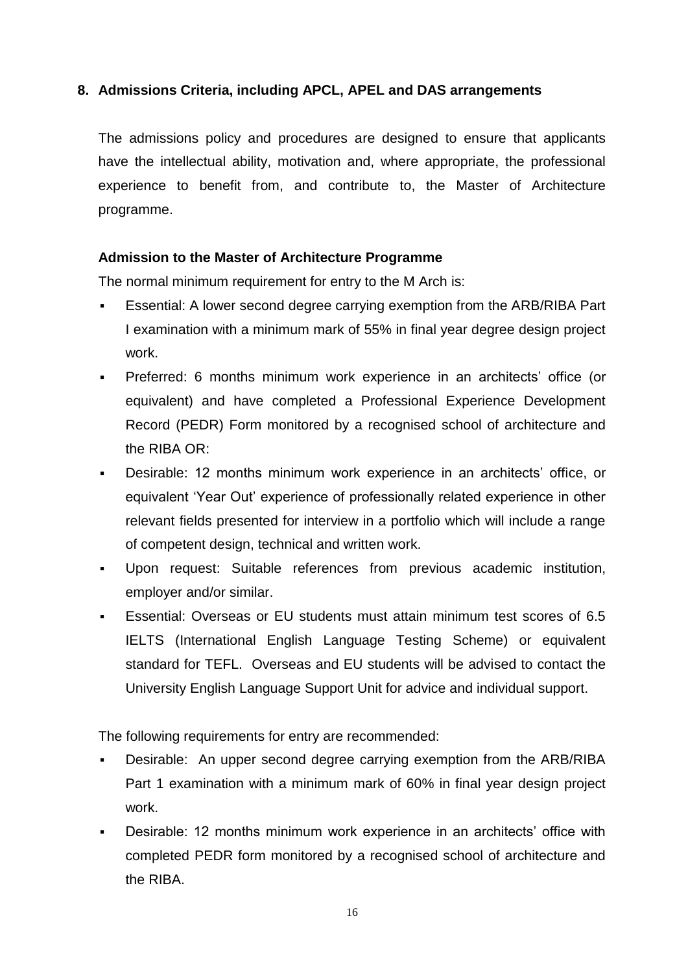## **8. Admissions Criteria, including APCL, APEL and DAS arrangements**

The admissions policy and procedures are designed to ensure that applicants have the intellectual ability, motivation and, where appropriate, the professional experience to benefit from, and contribute to, the Master of Architecture programme.

### **Admission to the Master of Architecture Programme**

The normal minimum requirement for entry to the M Arch is:

- Essential: A lower second degree carrying exemption from the ARB/RIBA Part I examination with a minimum mark of 55% in final year degree design project work.
- Preferred: 6 months minimum work experience in an architects' office (or equivalent) and have completed a Professional Experience Development Record (PEDR) Form monitored by a recognised school of architecture and the RIBA OR:
- Desirable: 12 months minimum work experience in an architects' office, or equivalent 'Year Out' experience of professionally related experience in other relevant fields presented for interview in a portfolio which will include a range of competent design, technical and written work.
- Upon request: Suitable references from previous academic institution, employer and/or similar.
- Essential: Overseas or EU students must attain minimum test scores of 6.5 IELTS (International English Language Testing Scheme) or equivalent standard for TEFL. Overseas and EU students will be advised to contact the University English Language Support Unit for advice and individual support.

The following requirements for entry are recommended:

- Desirable: An upper second degree carrying exemption from the ARB/RIBA Part 1 examination with a minimum mark of 60% in final year design project work.
- Desirable: 12 months minimum work experience in an architects' office with completed PEDR form monitored by a recognised school of architecture and the RIBA.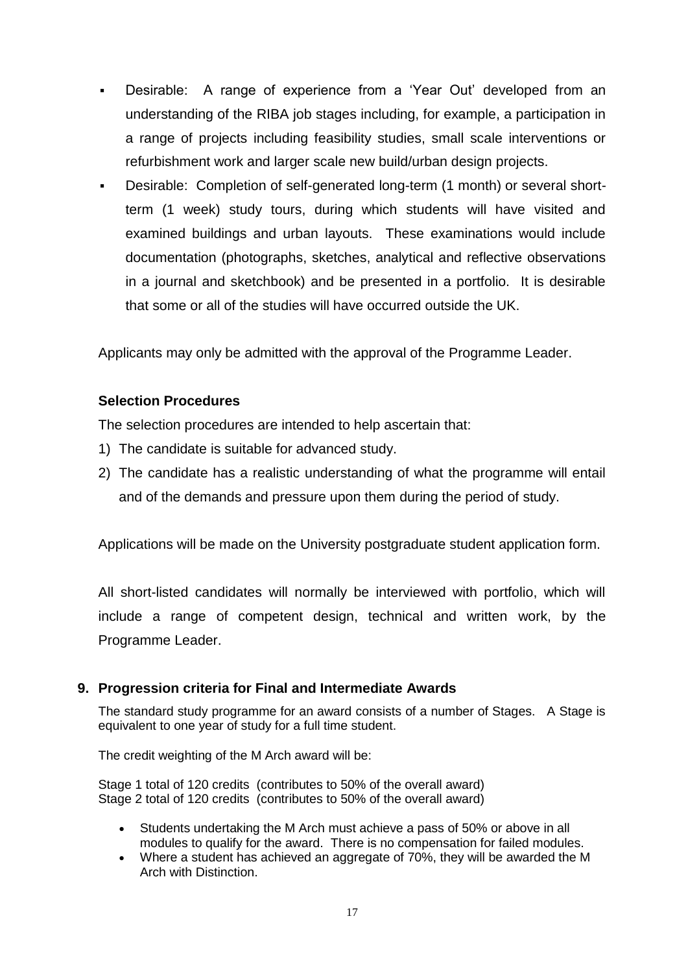- Desirable: A range of experience from a 'Year Out' developed from an understanding of the RIBA job stages including, for example, a participation in a range of projects including feasibility studies, small scale interventions or refurbishment work and larger scale new build/urban design projects.
- Desirable: Completion of self-generated long-term (1 month) or several shortterm (1 week) study tours, during which students will have visited and examined buildings and urban layouts. These examinations would include documentation (photographs, sketches, analytical and reflective observations in a journal and sketchbook) and be presented in a portfolio. It is desirable that some or all of the studies will have occurred outside the UK.

Applicants may only be admitted with the approval of the Programme Leader.

## **Selection Procedures**

The selection procedures are intended to help ascertain that:

- 1) The candidate is suitable for advanced study.
- 2) The candidate has a realistic understanding of what the programme will entail and of the demands and pressure upon them during the period of study.

Applications will be made on the University postgraduate student application form.

All short-listed candidates will normally be interviewed with portfolio, which will include a range of competent design, technical and written work, by the Programme Leader.

### **9. Progression criteria for Final and Intermediate Awards**

The standard study programme for an award consists of a number of Stages. A Stage is equivalent to one year of study for a full time student.

The credit weighting of the M Arch award will be:

Stage 1 total of 120 credits (contributes to 50% of the overall award) Stage 2 total of 120 credits (contributes to 50% of the overall award)

- Students undertaking the M Arch must achieve a pass of 50% or above in all modules to qualify for the award. There is no compensation for failed modules.
- Where a student has achieved an aggregate of 70%, they will be awarded the M Arch with Distinction.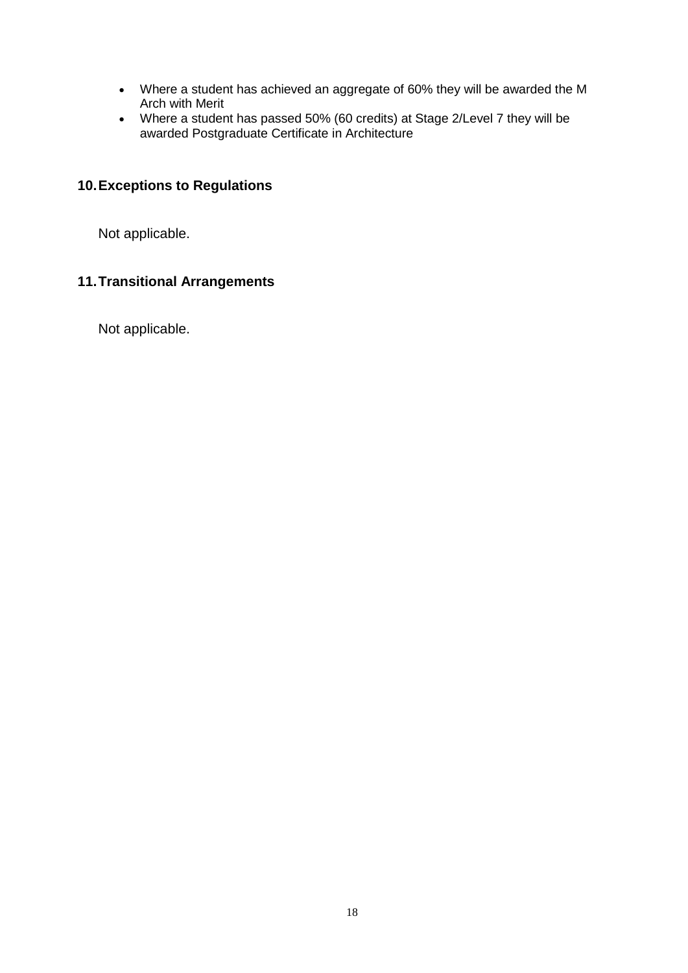- Where a student has achieved an aggregate of 60% they will be awarded the M Arch with Merit
- Where a student has passed 50% (60 credits) at Stage 2/Level 7 they will be awarded Postgraduate Certificate in Architecture

## **10.Exceptions to Regulations**

Not applicable.

## **11.Transitional Arrangements**

Not applicable.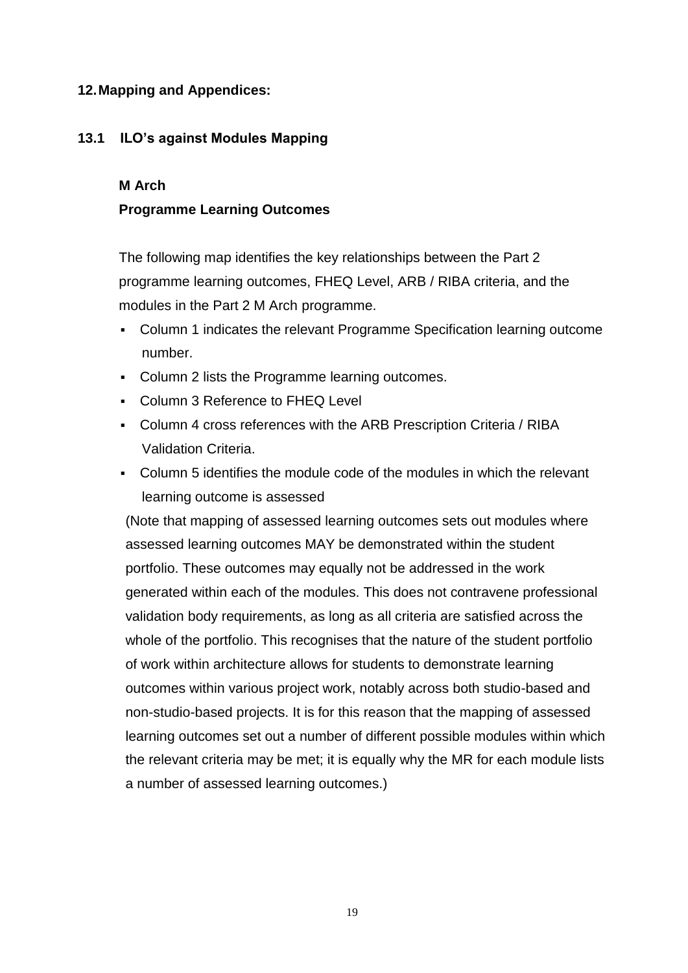## **12.Mapping and Appendices:**

## **13.1 ILO's against Modules Mapping**

### **M Arch**

## **Programme Learning Outcomes**

The following map identifies the key relationships between the Part 2 programme learning outcomes, FHEQ Level, ARB / RIBA criteria, and the modules in the Part 2 M Arch programme.

- Column 1 indicates the relevant Programme Specification learning outcome number.
- Column 2 lists the Programme learning outcomes.
- Column 3 Reference to FHEQ Level
- Column 4 cross references with the ARB Prescription Criteria / RIBA Validation Criteria.
- Column 5 identifies the module code of the modules in which the relevant learning outcome is assessed

(Note that mapping of assessed learning outcomes sets out modules where assessed learning outcomes MAY be demonstrated within the student portfolio. These outcomes may equally not be addressed in the work generated within each of the modules. This does not contravene professional validation body requirements, as long as all criteria are satisfied across the whole of the portfolio. This recognises that the nature of the student portfolio of work within architecture allows for students to demonstrate learning outcomes within various project work, notably across both studio-based and non-studio-based projects. It is for this reason that the mapping of assessed learning outcomes set out a number of different possible modules within which the relevant criteria may be met; it is equally why the MR for each module lists a number of assessed learning outcomes.)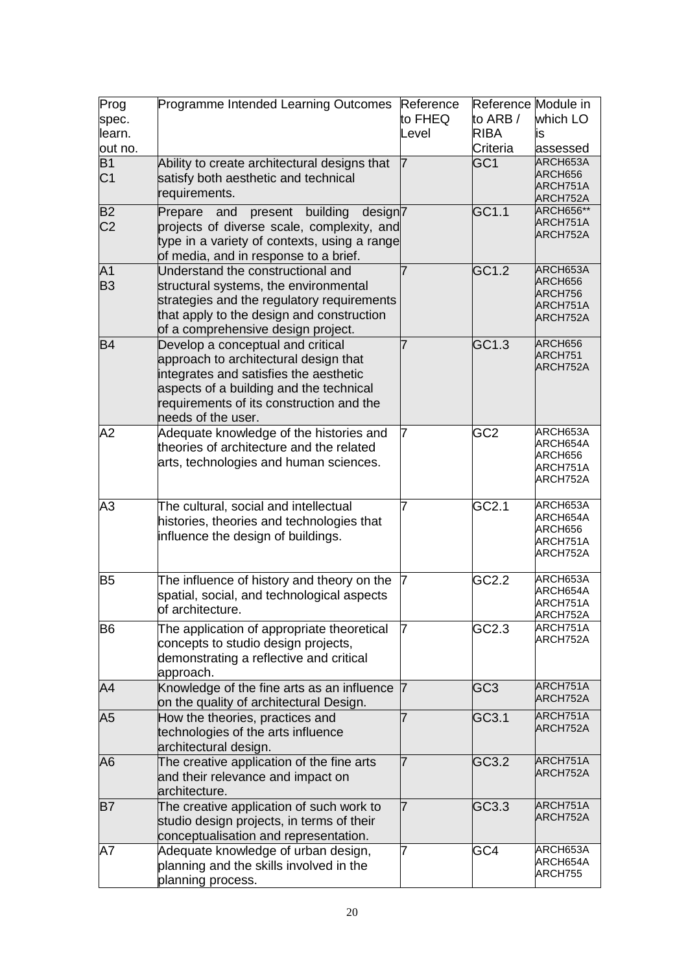| Prog<br>spec.<br>learn.           | Programme Intended Learning Outcomes                                                                                                                                                                                              | Reference<br>to FHEQ<br>Level | Reference Module in<br>to ARB /<br><b>RIBA</b> | which LO<br>is                                          |
|-----------------------------------|-----------------------------------------------------------------------------------------------------------------------------------------------------------------------------------------------------------------------------------|-------------------------------|------------------------------------------------|---------------------------------------------------------|
| out no.                           |                                                                                                                                                                                                                                   |                               | Criteria                                       | assessed                                                |
| $\overline{B1}$<br>C <sub>1</sub> | Ability to create architectural designs that<br>satisfy both aesthetic and technical<br>requirements.                                                                                                                             |                               | GC <sub>1</sub>                                | ARCH653A<br>ARCH656<br>ARCH751A<br>ARCH752A             |
| <b>B2</b><br>C <sub>2</sub>       | building<br>present<br>design7<br>Prepare<br>and<br>projects of diverse scale, complexity, and<br>type in a variety of contexts, using a range<br>of media, and in response to a brief.                                           |                               | GC1.1                                          | <b>ARCH656**</b><br>ARCH751A<br>ARCH752A                |
| A <sub>1</sub><br><b>B3</b>       | Understand the constructional and<br>structural systems, the environmental<br>strategies and the regulatory requirements<br>that apply to the design and construction<br>of a comprehensive design project.                       |                               | GC1.2                                          | ARCH653A<br>ARCH656<br>ARCH756<br>ARCH751A<br>ARCH752A  |
| <b>B4</b>                         | Develop a conceptual and critical<br>approach to architectural design that<br>integrates and satisfies the aesthetic<br>aspects of a building and the technical<br>requirements of its construction and the<br>needs of the user. |                               | $\overline{GC1.3}$                             | ARCH656<br>ARCH751<br>ARCH752A                          |
| A2                                | Adequate knowledge of the histories and<br>theories of architecture and the related<br>arts, technologies and human sciences.                                                                                                     | 7                             | GC <sub>2</sub>                                | ARCH653A<br>ARCH654A<br>ARCH656<br>ARCH751A<br>ARCH752A |
| A3                                | The cultural, social and intellectual<br>histories, theories and technologies that<br>influence the design of buildings.                                                                                                          | 7                             | GC2.1                                          | ARCH653A<br>ARCH654A<br>ARCH656<br>ARCH751A<br>ARCH752A |
| B <sub>5</sub>                    | The influence of history and theory on the<br>spatial, social, and technological aspects<br>of architecture.                                                                                                                      | $\overline{7}$                | GC2.2                                          | ARCH653A<br>ARCH654A<br>ARCH751A<br>ARCH752A            |
| <b>B6</b>                         | The application of appropriate theoretical<br>concepts to studio design projects,<br>demonstrating a reflective and critical<br>approach.                                                                                         | 7                             | GC2.3                                          | ARCH751A<br>ARCH752A                                    |
| A4                                | Knowledge of the fine arts as an influence 7<br>on the quality of architectural Design.                                                                                                                                           |                               | GC <sub>3</sub>                                | ARCH751A<br>ARCH752A                                    |
| A5                                | How the theories, practices and<br>technologies of the arts influence<br>architectural design.                                                                                                                                    | 7                             | GC3.1                                          | ARCH751A<br>ARCH752A                                    |
| A <sub>6</sub>                    | The creative application of the fine arts<br>and their relevance and impact on<br>architecture.                                                                                                                                   | 7                             | GC3.2                                          | ARCH751A<br>ARCH752A                                    |
| <b>B7</b>                         | The creative application of such work to<br>studio design projects, in terms of their<br>conceptualisation and representation.                                                                                                    | 7                             | GC3.3                                          | ARCH751A<br>ARCH752A                                    |
| Α7                                | Adequate knowledge of urban design,<br>planning and the skills involved in the<br>planning process.                                                                                                                               | 7                             | GC4                                            | ARCH653A<br>ARCH654A<br>ARCH755                         |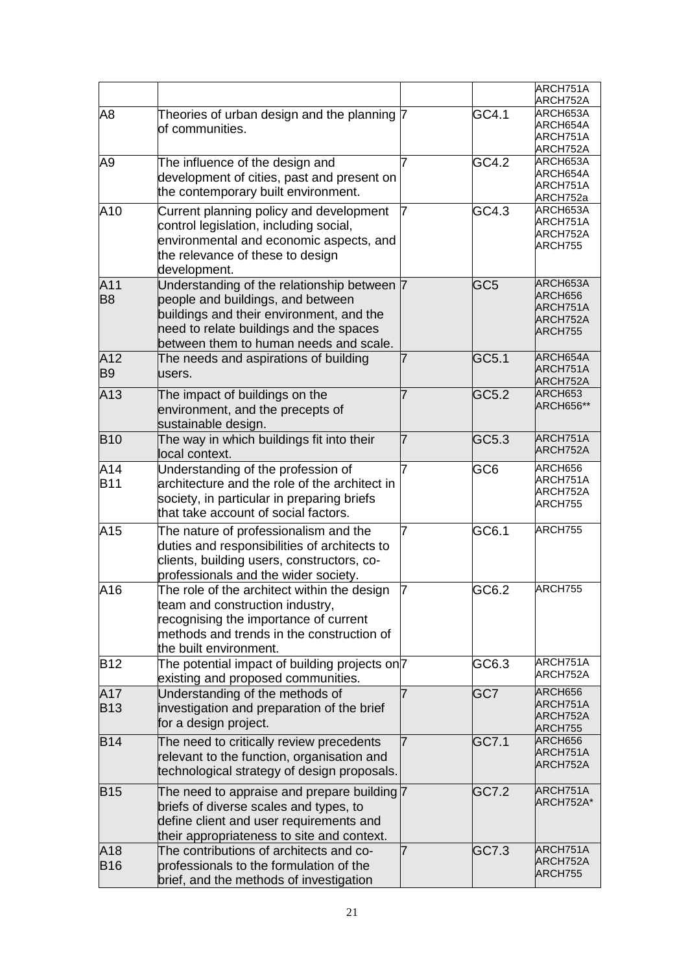|                       |                                                                                                                                                                                                                   |    |                 | ARCH751A<br>ARCH752A                                   |
|-----------------------|-------------------------------------------------------------------------------------------------------------------------------------------------------------------------------------------------------------------|----|-----------------|--------------------------------------------------------|
| A8                    | Theories of urban design and the planning 7<br>of communities.                                                                                                                                                    |    | GC4.1           | ARCH653A<br>ARCH654A<br>ARCH751A<br>ARCH752A           |
| A9                    | The influence of the design and<br>development of cities, past and present on<br>the contemporary built environment.                                                                                              |    | GC4.2           | ARCH653A<br>ARCH654A<br>ARCH751A<br>ARCH752a           |
| A10                   | Current planning policy and development<br>control legislation, including social,<br>environmental and economic aspects, and<br>the relevance of these to design<br>development.                                  | 17 | GC4.3           | ARCH653A<br>ARCH751A<br>ARCH752A<br>ARCH755            |
| A11<br>B <sub>8</sub> | Understanding of the relationship between 7<br>people and buildings, and between<br>buildings and their environment, and the<br>need to relate buildings and the spaces<br>between them to human needs and scale. |    | GC <sub>5</sub> | ARCH653A<br>ARCH656<br>ARCH751A<br>ARCH752A<br>ARCH755 |
| A12<br><b>B9</b>      | The needs and aspirations of building<br>users.                                                                                                                                                                   |    | GC5.1           | ARCH654A<br>ARCH751A<br>ARCH752A                       |
| A13                   | The impact of buildings on the<br>environment, and the precepts of<br>sustainable design.                                                                                                                         |    | GC5.2           | ARCH653<br><b>ARCH656**</b>                            |
| <b>B10</b>            | The way in which buildings fit into their<br>local context.                                                                                                                                                       | 7  | GC5.3           | ARCH751A<br>ARCH752A                                   |
| A14<br><b>B11</b>     | Understanding of the profession of<br>architecture and the role of the architect in<br>society, in particular in preparing briefs<br>that take account of social factors.                                         | 7  | GC6             | ARCH656<br>ARCH751A<br>ARCH752A<br>ARCH755             |
| A15                   | The nature of professionalism and the<br>duties and responsibilities of architects to<br>clients, building users, constructors, co-<br>professionals and the wider society.                                       | 7  | GC6.1           | ARCH755                                                |
| A16                   | The role of the architect within the design<br>team and construction industry,<br>recognising the importance of current<br>methods and trends in the construction of<br>the built environment.                    | 7  | GC6.2           | ARCH755                                                |
| <b>B12</b>            | The potential impact of building projects on <sup>7</sup><br>existing and proposed communities.                                                                                                                   |    | GC6.3           | ARCH751A<br>ARCH752A                                   |
| A17<br><b>B13</b>     | Understanding of the methods of<br>investigation and preparation of the brief<br>for a design project.                                                                                                            |    | GC7             | ARCH656<br>ARCH751A<br>ARCH752A<br>ARCH755             |
| <b>B14</b>            | The need to critically review precedents<br>relevant to the function, organisation and<br>technological strategy of design proposals.                                                                             | 7  | GC7.1           | ARCH656<br>ARCH751A<br>ARCH752A                        |
| <b>B15</b>            | The need to appraise and prepare building 7<br>briefs of diverse scales and types, to<br>define client and user requirements and<br>their appropriateness to site and context.                                    |    | GC7.2           | ARCH751A<br>ARCH752A*                                  |
| A18<br><b>B16</b>     | The contributions of architects and co-<br>professionals to the formulation of the<br>brief, and the methods of investigation                                                                                     | 7  | GC7.3           | ARCH751A<br>ARCH752A<br>ARCH755                        |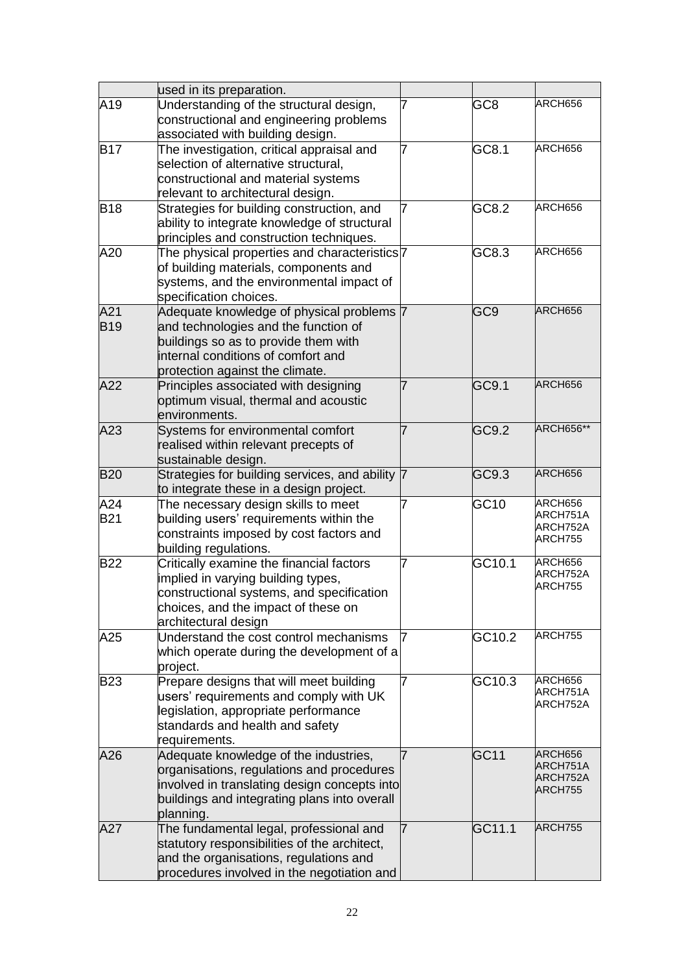|                   | used in its preparation.                                                                                                                                                                           |   |                  |                                            |
|-------------------|----------------------------------------------------------------------------------------------------------------------------------------------------------------------------------------------------|---|------------------|--------------------------------------------|
| A19               | Understanding of the structural design,<br>constructional and engineering problems<br>associated with building design.                                                                             |   | GC8              | ARCH656                                    |
| <b>B17</b>        | The investigation, critical appraisal and<br>selection of alternative structural,<br>constructional and material systems<br>relevant to architectural design.                                      | 7 | GC8.1            | ARCH656                                    |
| <b>B18</b>        | Strategies for building construction, and<br>ability to integrate knowledge of structural<br>principles and construction techniques.                                                               |   | GC8.2            | ARCH656                                    |
| A20               | The physical properties and characteristics <sup>7</sup><br>of building materials, components and<br>systems, and the environmental impact of<br>specification choices.                            |   | GC8.3            | ARCH656                                    |
| A21<br><b>B19</b> | Adequate knowledge of physical problems 7<br>and technologies and the function of<br>buildings so as to provide them with<br>internal conditions of comfort and<br>protection against the climate. |   | GC9              | ARCH656                                    |
| A22               | Principles associated with designing<br>optimum visual, thermal and acoustic<br>environments.                                                                                                      |   | GC9.1            | ARCH656                                    |
| A23               | Systems for environmental comfort<br>realised within relevant precepts of<br>sustainable design.                                                                                                   |   | GC9.2            | <b>ARCH656**</b>                           |
| <b>B20</b>        | Strategies for building services, and ability 7<br>to integrate these in a design project.                                                                                                         |   | GC9.3            | ARCH656                                    |
| A24<br><b>B21</b> | The necessary design skills to meet<br>building users' requirements within the<br>constraints imposed by cost factors and<br>building regulations.                                                 | 7 | GC <sub>10</sub> | ARCH656<br>ARCH751A<br>ARCH752A<br>ARCH755 |
| <b>B22</b>        | Critically examine the financial factors<br>implied in varying building types,<br>constructional systems, and specification<br>choices, and the impact of these on<br>architectural design         |   | GC10.1           | ARCH656<br>ARCH752A<br>ARCH755             |
| A25               | Understand the cost control mechanisms<br>which operate during the development of a<br>project.                                                                                                    | 7 | GC10.2           | ARCH755                                    |
| <b>B23</b>        | Prepare designs that will meet building<br>users' requirements and comply with UK<br>legislation, appropriate performance<br>standards and health and safety<br>requirements.                      | 7 | GC10.3           | ARCH656<br>ARCH751A<br>ARCH752A            |
| A26               | Adequate knowledge of the industries,<br>organisations, regulations and procedures<br>involved in translating design concepts into<br>buildings and integrating plans into overall<br>planning.    |   | <b>GC11</b>      | ARCH656<br>ARCH751A<br>ARCH752A<br>ARCH755 |
| A27               | The fundamental legal, professional and<br>statutory responsibilities of the architect,<br>and the organisations, regulations and<br>procedures involved in the negotiation and                    | 7 | GC11.1           | ARCH755                                    |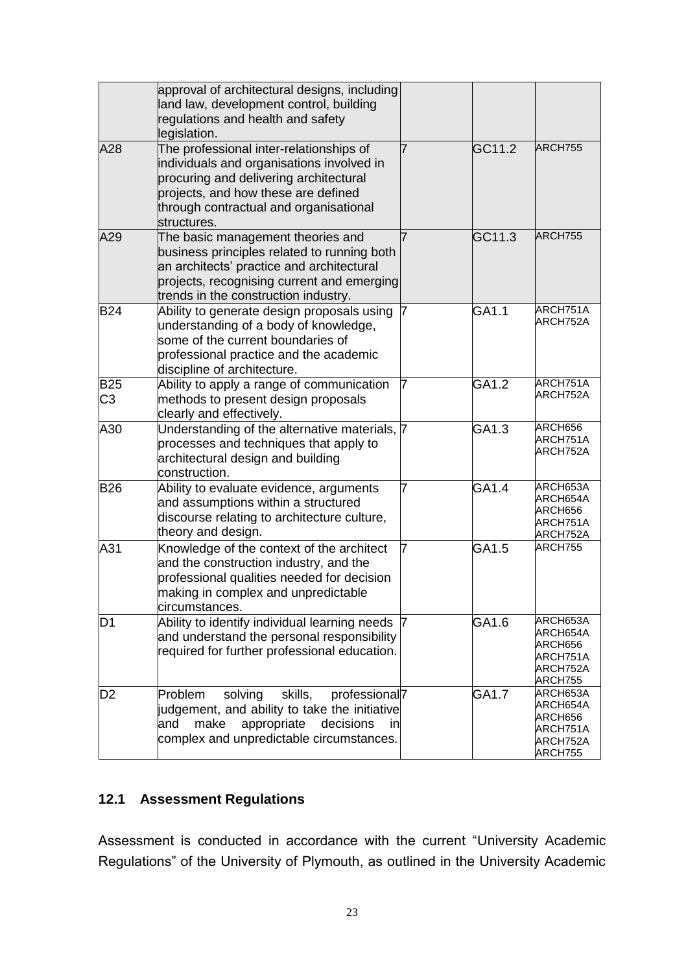|                              | approval of architectural designs, including<br>land law, development control, building<br>regulations and health and safety<br>legislation.                                                                                   |   |        |                                                                    |
|------------------------------|--------------------------------------------------------------------------------------------------------------------------------------------------------------------------------------------------------------------------------|---|--------|--------------------------------------------------------------------|
| A28                          | The professional inter-relationships of<br>individuals and organisations involved in<br>procuring and delivering architectural<br>projects, and how these are defined<br>through contractual and organisational<br>structures. |   | GC11.2 | ARCH755                                                            |
| A29                          | The basic management theories and<br>business principles related to running both<br>an architects' practice and architectural<br>projects, recognising current and emerging<br>trends in the construction industry.            | 7 | GC11.3 | ARCH755                                                            |
| <b>B24</b>                   | Ability to generate design proposals using<br>understanding of a body of knowledge,<br>some of the current boundaries of<br>professional practice and the academic<br>discipline of architecture.                              |   | GA1.1  | ARCH751A<br>ARCH752A                                               |
| <b>B25</b><br>C <sub>3</sub> | Ability to apply a range of communication<br>methods to present design proposals<br>clearly and effectively.                                                                                                                   | 7 | GA1.2  | ARCH751A<br>ARCH752A                                               |
| A30                          | Understanding of the alternative materials, 7<br>processes and techniques that apply to<br>architectural design and building<br>construction.                                                                                  |   | GA1.3  | ARCH656<br>ARCH751A<br>ARCH752A                                    |
| <b>B26</b>                   | Ability to evaluate evidence, arguments<br>and assumptions within a structured<br>discourse relating to architecture culture,<br>theory and design.                                                                            | 7 | GA1.4  | ARCH653A<br>ARCH654A<br>ARCH656<br>ARCH751A<br>ARCH752A            |
| A31                          | Knowledge of the context of the architect<br>and the construction industry, and the<br>professional qualities needed for decision<br>making in complex and unpredictable<br>circumstances.                                     | 7 | GA1.5  | ARCH755                                                            |
| D <sub>1</sub>               | Ability to identify individual learning needs 7<br>and understand the personal responsibility<br>required for further professional education.                                                                                  |   | GA1.6  | ARCH653A<br>ARCH654A<br>ARCH656<br>ARCH751A<br>ARCH752A<br>ARCH755 |
| D2                           | professional <sub>7</sub><br>Problem<br>solving<br>skills,<br>judgement, and ability to take the initiative<br>make<br>appropriate<br>decisions<br>and<br>inl<br>complex and unpredictable circumstances.                      |   | GA1.7  | ARCH653A<br>ARCH654A<br>ARCH656<br>ARCH751A<br>ARCH752A<br>ARCH755 |

## **12.1 Assessment Regulations**

Assessment is conducted in accordance with the current "University Academic Regulations" of the University of Plymouth, as outlined in the University Academic